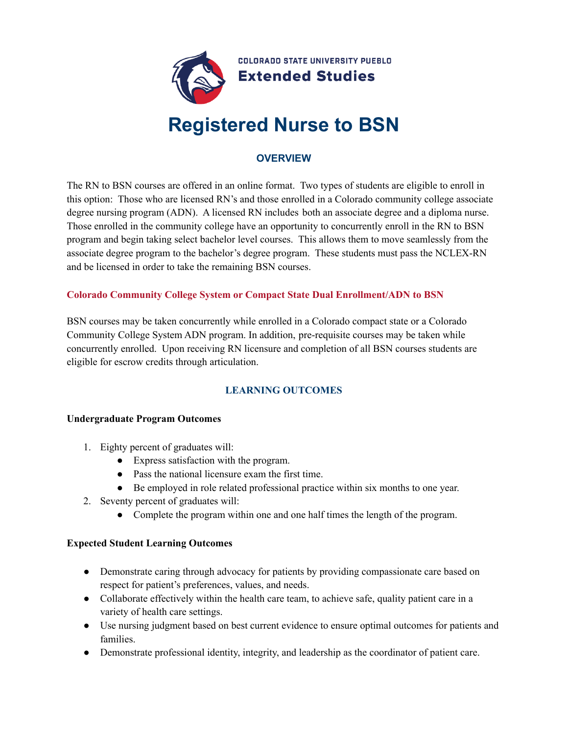

# **Registered Nurse to BSN**

## **OVERVIEW**

The RN to BSN courses are offered in an online format. Two types of students are eligible to enroll in this option: Those who are licensed RN's and those enrolled in a Colorado community college associate degree nursing program (ADN). A licensed RN includes both an associate degree and a diploma nurse. Those enrolled in the community college have an opportunity to concurrently enroll in the RN to BSN program and begin taking select bachelor level courses. This allows them to move seamlessly from the associate degree program to the bachelor's degree program. These students must pass the NCLEX-RN and be licensed in order to take the remaining BSN courses.

#### **Colorado Community College System or Compact State Dual Enrollment/ADN to BSN**

BSN courses may be taken concurrently while enrolled in a Colorado compact state or a Colorado Community College System ADN program. In addition, pre-requisite courses may be taken while concurrently enrolled. Upon receiving RN licensure and completion of all BSN courses students are eligible for escrow credits through articulation.

## **LEARNING OUTCOMES**

#### **Undergraduate Program Outcomes**

- 1. Eighty percent of graduates will:
	- Express satisfaction with the program.
	- Pass the national licensure exam the first time.
	- Be employed in role related professional practice within six months to one year.
- 2. Seventy percent of graduates will:
	- Complete the program within one and one half times the length of the program.

#### **Expected Student Learning Outcomes**

- Demonstrate caring through advocacy for patients by providing compassionate care based on respect for patient's preferences, values, and needs.
- Collaborate effectively within the health care team, to achieve safe, quality patient care in a variety of health care settings.
- Use nursing judgment based on best current evidence to ensure optimal outcomes for patients and families.
- Demonstrate professional identity, integrity, and leadership as the coordinator of patient care.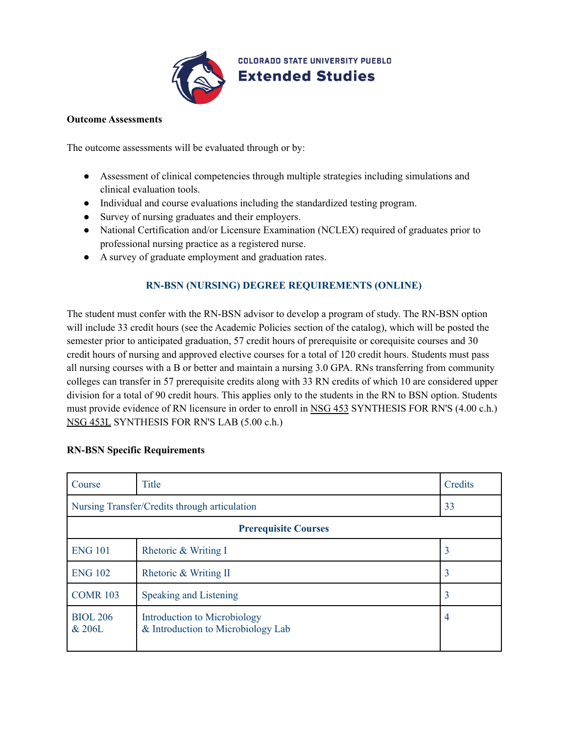

#### **Outcome Assessments**

The outcome assessments will be evaluated through or by:

- Assessment of clinical competencies through multiple strategies including simulations and clinical evaluation tools.
- Individual and course evaluations including the standardized testing program.
- Survey of nursing graduates and their employers.
- National Certification and/or Licensure Examination (NCLEX) required of graduates prior to professional nursing practice as a registered nurse.
- A survey of graduate employment and graduation rates.

## **RN-BSN (NURSING) DEGREE REQUIREMENTS (ONLINE)**

The student must confer with the RN-BSN advisor to develop a program of study. The RN-BSN option will include 33 credit hours (see the Academic Policies section of the catalog), which will be posted the semester prior to anticipated graduation, 57 credit hours of prerequisite or corequisite courses and 30 credit hours of nursing and approved elective courses for a total of 120 credit hours. Students must pass all nursing courses with a B or better and maintain a nursing 3.0 GPA. RNs transferring from community colleges can transfer in 57 prerequisite credits along with 33 RN credits of which 10 are considered upper division for a total of 90 credit hours. This applies only to the students in the RN to BSN option. Students must provide evidence of RN licensure in order to enroll in [NSG](https://catalog.csupueblo.edu/search/?P=NSG%20453) 453 SYNTHESIS FOR RN'S (4.00 c.h.) NSG [453L](https://catalog.csupueblo.edu/search/?P=NSG%20453L) SYNTHESIS FOR RN'S LAB (5.00 c.h.)

| Course                                        | Title                                                              | Credits |  |
|-----------------------------------------------|--------------------------------------------------------------------|---------|--|
| Nursing Transfer/Credits through articulation |                                                                    |         |  |
| <b>Prerequisite Courses</b>                   |                                                                    |         |  |
| <b>ENG 101</b>                                | Rhetoric & Writing I                                               | 3       |  |
| <b>ENG 102</b>                                | Rhetoric & Writing II                                              | 3       |  |
| <b>COMR 103</b>                               | Speaking and Listening                                             | 3       |  |
| <b>BIOL 206</b><br>& 206L                     | Introduction to Microbiology<br>& Introduction to Microbiology Lab | 4       |  |

#### **RN-BSN Specific Requirements**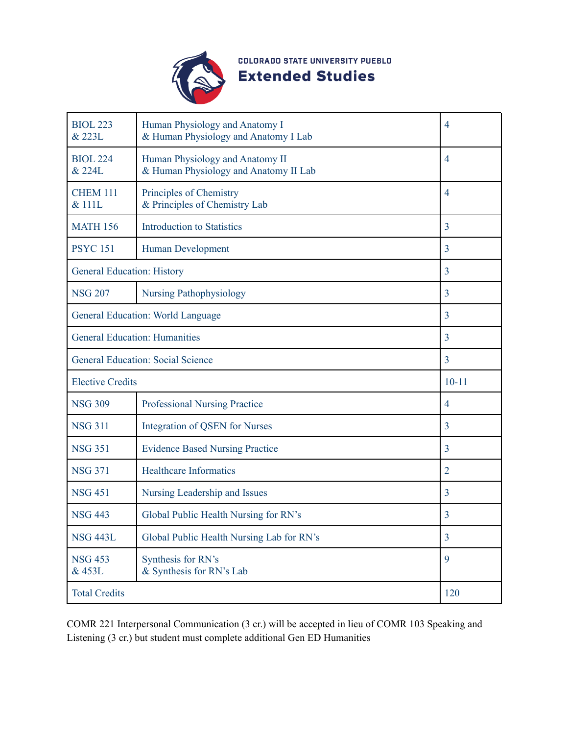

**COLORADO STATE UNIVERSITY PUEBLO** 

## **Extended Studies**

| <b>BIOL 223</b><br>& 223L                | Human Physiology and Anatomy I<br>& Human Physiology and Anatomy I Lab   | $\overline{4}$ |
|------------------------------------------|--------------------------------------------------------------------------|----------------|
| <b>BIOL 224</b><br>& 224L                | Human Physiology and Anatomy II<br>& Human Physiology and Anatomy II Lab | $\overline{4}$ |
| <b>CHEM 111</b><br>& 111L                | Principles of Chemistry<br>& Principles of Chemistry Lab                 | 4              |
| <b>MATH 156</b>                          | <b>Introduction to Statistics</b>                                        | 3              |
| <b>PSYC 151</b>                          | Human Development                                                        | 3              |
| <b>General Education: History</b>        |                                                                          | 3              |
| <b>NSG 207</b>                           | <b>Nursing Pathophysiology</b>                                           | 3              |
| General Education: World Language        |                                                                          | 3              |
| <b>General Education: Humanities</b>     |                                                                          | 3              |
| <b>General Education: Social Science</b> |                                                                          | 3              |
| <b>Elective Credits</b>                  |                                                                          | $10 - 11$      |
| <b>NSG 309</b>                           | <b>Professional Nursing Practice</b>                                     | 4              |
| <b>NSG 311</b>                           | <b>Integration of QSEN for Nurses</b>                                    | 3              |
| <b>NSG 351</b>                           | <b>Evidence Based Nursing Practice</b>                                   | 3              |
| <b>NSG 371</b>                           | <b>Healthcare Informatics</b>                                            | $\overline{2}$ |
| <b>NSG 451</b>                           | Nursing Leadership and Issues                                            | 3              |
| <b>NSG 443</b>                           | Global Public Health Nursing for RN's                                    | 3              |
| <b>NSG 443L</b>                          | Global Public Health Nursing Lab for RN's                                | $\overline{3}$ |
| <b>NSG 453</b><br>& 453L                 | Synthesis for RN's<br>& Synthesis for RN's Lab                           | 9              |
| <b>Total Credits</b>                     |                                                                          | 120            |

COMR 221 Interpersonal Communication (3 cr.) will be accepted in lieu of COMR 103 Speaking and Listening (3 cr.) but student must complete additional Gen ED Humanities